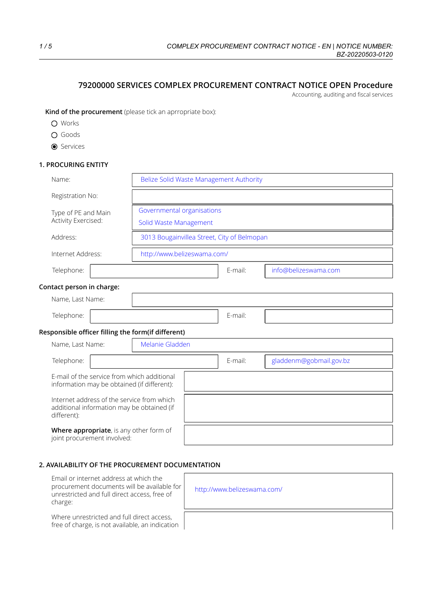# **79200000 SERVICES COMPLEX PROCUREMENT CONTRACT NOTICE OPEN Procedure**

Accounting, auditing and fiscal services

**Kind of the procurement** (please tick an aprropriate box):

- Works
- O Goods
- **O** Services

## **1. PROCURING ENTITY**

| Name:                                                                                                   | Belize Solid Waste Management Authority     |         |         |                         |
|---------------------------------------------------------------------------------------------------------|---------------------------------------------|---------|---------|-------------------------|
| Registration No:                                                                                        |                                             |         |         |                         |
| Type of PE and Main                                                                                     | Governmental organisations                  |         |         |                         |
| Activity Exercised:                                                                                     | Solid Waste Management                      |         |         |                         |
| Address:                                                                                                | 3013 Bougainvillea Street, City of Belmopan |         |         |                         |
| Internet Address:                                                                                       | http://www.belizeswama.com/                 |         |         |                         |
| Telephone:                                                                                              |                                             |         | E-mail: | info@belizeswama.com    |
| Contact person in charge:                                                                               |                                             |         |         |                         |
| Name, Last Name:                                                                                        |                                             |         |         |                         |
| Telephone:                                                                                              |                                             | E-mail: |         |                         |
| Responsible officer filling the form(if different)                                                      |                                             |         |         |                         |
| Name, Last Name:                                                                                        | Melanie Gladden                             |         |         |                         |
| Telephone:                                                                                              |                                             |         | E-mail: | gladdenm@gobmail.gov.bz |
| E-mail of the service from which additional<br>information may be obtained (if different):              |                                             |         |         |                         |
| Internet address of the service from which<br>additional information may be obtained (if<br>different): |                                             |         |         |                         |
| Where appropriate, is any other form of<br>joint procurement involved:                                  |                                             |         |         |                         |

## **2. AVAILABILITY OF THE PROCUREMENT DOCUMENTATION**

 $\sqrt{ }$ 

| Email or internet address at which the       |
|----------------------------------------------|
| procurement documents will be available for  |
| unrestricted and full direct access, free of |
| charge:                                      |

Where unrestricted and full direct access, free of charge, is not available, an indication

| http://www.belizeswama.com/ |  |
|-----------------------------|--|
|                             |  |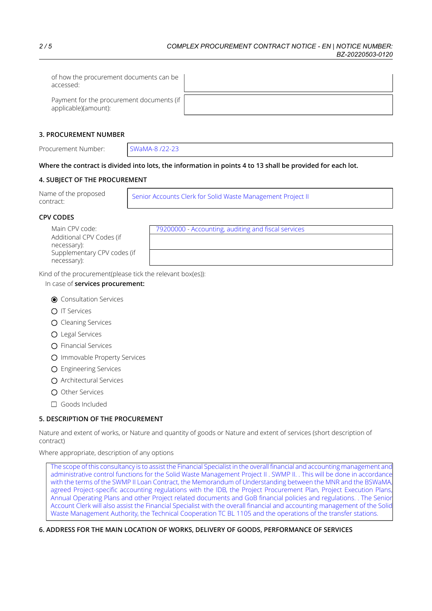| of how the procurement documents can be<br>accessed:              |  |
|-------------------------------------------------------------------|--|
| Payment for the procurement documents (if<br>applicable)(amount): |  |

### **3. PROCUREMENT NUMBER**

Procurement Number: SWaMA-8 /22-23

## Where the contract is divided into lots, the information in points 4 to 13 shall be provided for each lot.

## **4. SUBJECT OF THE PROCUREMENT**

| Name of the proposed<br>contract: | Senior Accounts Clerk for Solid Waste Management Project II |
|-----------------------------------|-------------------------------------------------------------|
|-----------------------------------|-------------------------------------------------------------|

## **CPV CODES**

| Main CPV code:              |
|-----------------------------|
| Additional CPV Codes (if    |
| necessary):                 |
| Supplementary CPV codes (if |
| necessary):                 |

79200000 - Accounting, auditing and fiscal services

Kind of the procurement(please tick the relevant box(es)):

# In case of **services procurement:**

- **O** Consultation Services
- **O** IT Services
- O Cleaning Services
- Legal Services
- O Financial Services
- O Immovable Property Services
- Engineering Services
- Architectural Services
- O Other Services
- Goods Included

## **5. DESCRIPTION OF THE PROCUREMENT**

Nature and extent of works, or Nature and quantity of goods or Nature and extent of services (short description of contract)

Where appropriate, description of any options

The scope of this consultancy is to assist the Financial Specialist in the overall financial and accounting management and administrative control functions for the Solid Waste Management Project II . SWMP II. . This will be done in accordance with the terms of the SWMP II Loan Contract, the Memorandum of Understanding between the MNR and the BSWaMA, agreed Project-specific accounting regulations with the IDB, the Project Procurement Plan, Project Execution Plans, Annual Operating Plans and other Project related documents and GoB financial policies and regulations. . The Senior Account Clerk will also assist the Financial Specialist with the overall financial and accounting management of the Solid Waste Management Authority, the Technical Cooperation TC BL 1105 and the operations of the transfer stations.

## **6. ADDRESS FOR THE MAIN LOCATION OF WORKS, DELIVERY OF GOODS, PERFORMANCE OF SERVICES**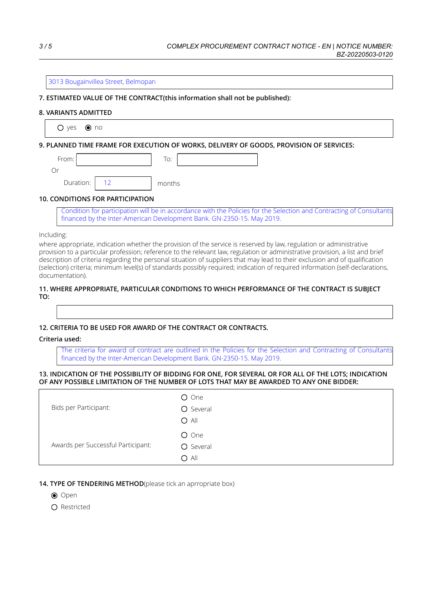#### 3013 Bougainvillea Street, Belmopan

## **7. ESTIMATED VALUE OF THE CONTRACT(this information shall not be published):**

#### **8. VARIANTS ADMITTED**

 $O$  yes  $\odot$  no

**9. PLANNED TIME FRAME FOR EXECUTION OF WORKS, DELIVERY OF GOODS, PROVISION OF SERVICES:**

| From:     | To:    |
|-----------|--------|
|           |        |
| Duration: | months |

#### **10. CONDITIONS FOR PARTICIPATION**

Condition for participation will be in accordance with the Policies for the Selection and Contracting of Consultants financed by the Inter-American Development Bank. GN-2350-15. May 2019.

### Including:

where appropriate, indication whether the provision of the service is reserved by law, regulation or administrative provision to a particular profession; reference to the relevant law, regulation or administrative provision, a list and brief description of criteria regarding the personal situation of suppliers that may lead to their exclusion and of qualification (selection) criteria; minimum level(s) of standards possibly required; indication of required information (self-declarations, documentation).

### **11. WHERE APPROPRIATE, PARTICULAR CONDITIONS TO WHICH PERFORMANCE OF THE CONTRACT IS SUBJECT TO:**

#### **12. CRITERIA TO BE USED FOR AWARD OF THE CONTRACT OR CONTRACTS.**

#### **Criteria used:**

The criteria for award of contract are outlined in the Policies for the Selection and Contracting of Consultants financed by the Inter-American Development Bank. GN-2350-15. May 2019.

#### 13. INDICATION OF THE POSSIBILITY OF BIDDING FOR ONE, FOR SEVERAL OR FOR ALL OF THE LOTS; INDICATION **OF ANY POSSIBLE LIMITATION OF THE NUMBER OF LOTS THAT MAY BE AWARDED TO ANY ONE BIDDER:**

| Bids per Participant:              | O One<br>O Several<br>$O$ All |
|------------------------------------|-------------------------------|
| Awards per Successful Participant: | O One<br>O Several<br>$O$ All |

### **14. TYPE OF TENDERING METHOD**(please tick an aprropriate box)

- **⊙** Open
- $\Omega$  Restricted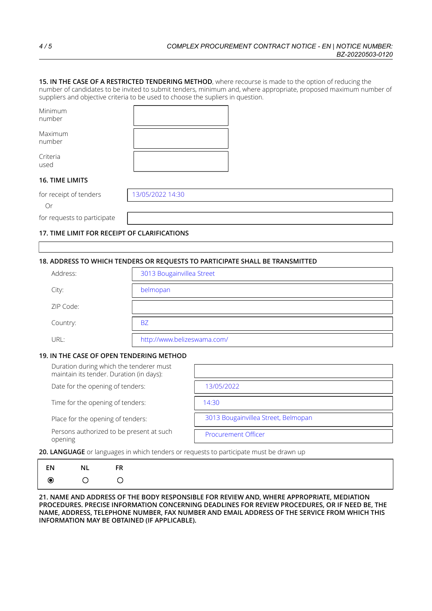**15. IN THE CASE OF A RESTRICTED TENDERING METHOD**, where recourse is made to the option of reducing the number of candidates to be invited to submit tenders, minimum and, where appropriate, proposed maximum number of suppliers and objective criteria to be used to choose the supliers in question.

| Minimum<br>number           |                  |  |
|-----------------------------|------------------|--|
| Maximum<br>number           |                  |  |
| Criteria<br>used            |                  |  |
| 16. TIME LIMITS             |                  |  |
| for receipt of tenders      | 13/05/2022 14:30 |  |
| Or                          |                  |  |
| for requests to participate |                  |  |

### **17. TIME LIMIT FOR RECEIPT OF CLARIFICATIONS**

### **18. ADDRESS TO WHICH TENDERS OR REQUESTS TO PARTICIPATE SHALL BE TRANSMITTED**

| Address:  | 3013 Bougainvillea Street   |
|-----------|-----------------------------|
| City:     | belmopan                    |
| ZIP Code: |                             |
| Country:  | <b>BZ</b>                   |
| URL:      | http://www.belizeswama.com/ |

#### **19. IN THE CASE OF OPEN TENDERING METHOD**

| Duration during which the tenderer must<br>maintain its tender. Duration (in days): |                                     |
|-------------------------------------------------------------------------------------|-------------------------------------|
| Date for the opening of tenders:                                                    | 13/05/2022                          |
| Time for the opening of tenders:                                                    | 14:30                               |
| Place for the opening of tenders:                                                   | 3013 Bougainvillea Street, Belmopan |
| Persons authorized to be present at such<br>opening                                 | <b>Procurement Officer</b>          |

**20. LANGUAGE** or languages in which tenders or requests to participate must be drawn up

| ΕN      | NL | FR                 |
|---------|----|--------------------|
| $\odot$ | O  | $\left( \ \right)$ |

**21. NAME AND ADDRESS OF THE BODY RESPONSIBLE FOR REVIEW AND, WHERE APPROPRIATE, MEDIATION PROCEDURES. PRECISE INFORMATION CONCERNING DEADLINES FOR REVIEW PROCEDURES, OR IF NEED BE, THE NAME, ADDRESS, TELEPHONE NUMBER, FAX NUMBER AND EMAIL ADDRESS OF THE SERVICE FROM WHICH THIS INFORMATION MAY BE OBTAINED (IF APPLICABLE).**